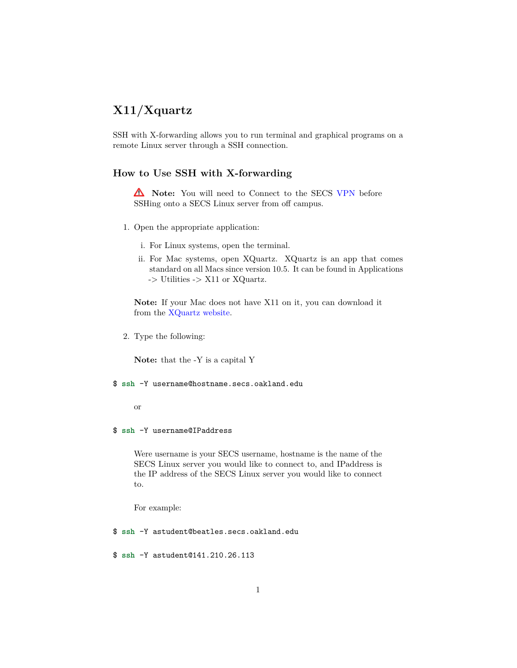# **X11/Xquartz**

SSH with X-forwarding allows you to run terminal and graphical programs on a remote Linux server through a SSH connection.

## **How to Use SSH with X-forwarding**

**A** Note: You will need to Connect to the SECS [VPN](http://secs.oakland.edu/docs/pdf/vpn.pdf) before SSHing onto a SECS Linux server from off campus.

- 1. Open the appropriate application:
	- i. For Linux systems, open the terminal.
	- ii. For Mac systems, open XQuartz. XQuartz is an app that comes standard on all Macs since version 10.5. It can be found in Applications -> Utilities -> X11 or XQuartz.

**Note:** If your Mac does not have X11 on it, you can download it from the [XQuartz website.](http://xquartz.macosforge.org/trac/wiki/Releases)

2. Type the following:

**Note:** that the -Y is a capital Y

#### \$ ssh -Y username@hostname.secs.oakland.edu

or

#### \$ ssh -Y username@IPaddress

Were username is your SECS username, hostname is the name of the SECS Linux server you would like to connect to, and IPaddress is the IP address of the SECS Linux server you would like to connect to.

For example:

\$ ssh -Y astudent@beatles.secs.oakland.edu

\$ ssh -Y astudent@141.210.26.113